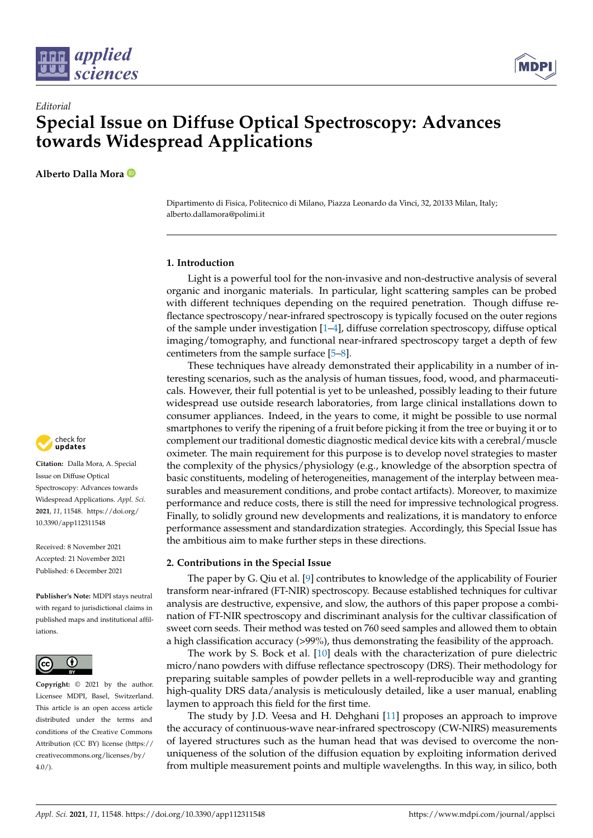



# *Editorial* **Special Issue on Diffuse Optical Spectroscopy: Advances towards Widespread Applications**

**Alberto Dalla Mora**

Dipartimento di Fisica, Politecnico di Milano, Piazza Leonardo da Vinci, 32, 20133 Milan, Italy; alberto.dallamora@polimi.it

## **1. Introduction**

Light is a powerful tool for the non-invasive and non-destructive analysis of several organic and inorganic materials. In particular, light scattering samples can be probed with different techniques depending on the required penetration. Though diffuse reflectance spectroscopy/near-infrared spectroscopy is typically focused on the outer regions of the sample under investigation  $[1-4]$  $[1-4]$ , diffuse correlation spectroscopy, diffuse optical imaging/tomography, and functional near-infrared spectroscopy target a depth of few centimeters from the sample surface [\[5](#page-2-2)[–8\]](#page-2-3).

These techniques have already demonstrated their applicability in a number of interesting scenarios, such as the analysis of human tissues, food, wood, and pharmaceuticals. However, their full potential is yet to be unleashed, possibly leading to their future widespread use outside research laboratories, from large clinical installations down to consumer appliances. Indeed, in the years to come, it might be possible to use normal smartphones to verify the ripening of a fruit before picking it from the tree or buying it or to complement our traditional domestic diagnostic medical device kits with a cerebral/muscle oximeter. The main requirement for this purpose is to develop novel strategies to master the complexity of the physics/physiology (e.g., knowledge of the absorption spectra of basic constituents, modeling of heterogeneities, management of the interplay between measurables and measurement conditions, and probe contact artifacts). Moreover, to maximize performance and reduce costs, there is still the need for impressive technological progress. Finally, to solidly ground new developments and realizations, it is mandatory to enforce performance assessment and standardization strategies. Accordingly, this Special Issue has the ambitious aim to make further steps in these directions.

## **2. Contributions in the Special Issue**

The paper by G. Qiu et al. [\[9\]](#page-2-4) contributes to knowledge of the applicability of Fourier transform near-infrared (FT-NIR) spectroscopy. Because established techniques for cultivar analysis are destructive, expensive, and slow, the authors of this paper propose a combination of FT-NIR spectroscopy and discriminant analysis for the cultivar classification of sweet corn seeds. Their method was tested on 760 seed samples and allowed them to obtain a high classification accuracy (>99%), thus demonstrating the feasibility of the approach.

The work by S. Bock et al. [\[10\]](#page-2-5) deals with the characterization of pure dielectric micro/nano powders with diffuse reflectance spectroscopy (DRS). Their methodology for preparing suitable samples of powder pellets in a well-reproducible way and granting high-quality DRS data/analysis is meticulously detailed, like a user manual, enabling laymen to approach this field for the first time.

The study by J.D. Veesa and H. Dehghani [\[11\]](#page-2-6) proposes an approach to improve the accuracy of continuous-wave near-infrared spectroscopy (CW-NIRS) measurements of layered structures such as the human head that was devised to overcome the nonuniqueness of the solution of the diffusion equation by exploiting information derived from multiple measurement points and multiple wavelengths. In this way, in silico, both



**Citation:** Dalla Mora, A. Special Issue on Diffuse Optical Spectroscopy: Advances towards Widespread Applications. *Appl. Sci.* **2021**, *11*, 11548. [https://doi.org/](https://doi.org/10.3390/app112311548) [10.3390/app112311548](https://doi.org/10.3390/app112311548)

Received: 8 November 2021 Accepted: 21 November 2021 Published: 6 December 2021

**Publisher's Note:** MDPI stays neutral with regard to jurisdictional claims in published maps and institutional affiliations.



**Copyright:** © 2021 by the author. Licensee MDPI, Basel, Switzerland. This article is an open access article distributed under the terms and conditions of the Creative Commons Attribution (CC BY) license (https:/[/](https://creativecommons.org/licenses/by/4.0/) [creativecommons.org/licenses/by/](https://creativecommons.org/licenses/by/4.0/)  $4.0/$ ).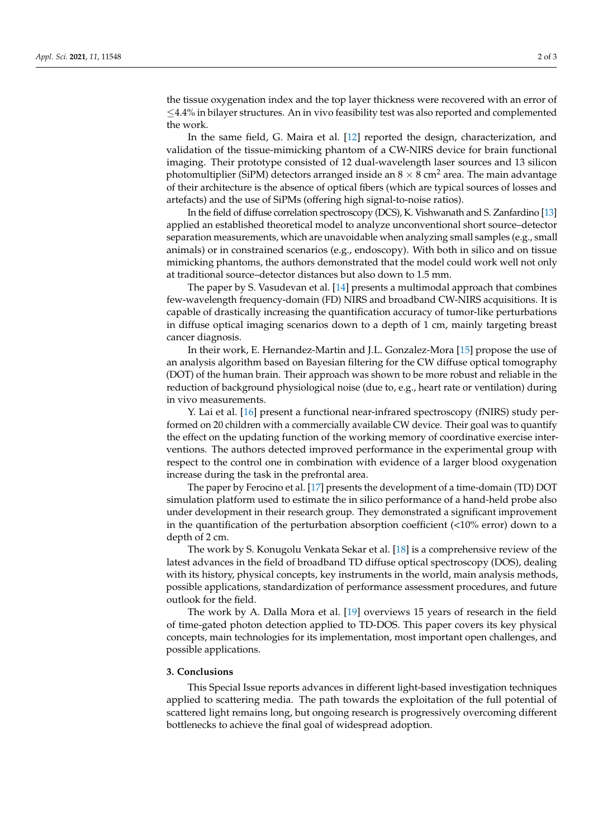the tissue oxygenation index and the top layer thickness were recovered with an error of ≤4.4% in bilayer structures. An in vivo feasibility test was also reported and complemented the work.

In the same field, G. Maira et al. [\[12\]](#page-2-7) reported the design, characterization, and validation of the tissue-mimicking phantom of a CW-NIRS device for brain functional imaging. Their prototype consisted of 12 dual-wavelength laser sources and 13 silicon photomultiplier (SiPM) detectors arranged inside an  $8 \times 8$  cm<sup>2</sup> area. The main advantage of their architecture is the absence of optical fibers (which are typical sources of losses and artefacts) and the use of SiPMs (offering high signal-to-noise ratios).

In the field of diffuse correlation spectroscopy (DCS), K. Vishwanath and S. Zanfardino [\[13\]](#page-2-8) applied an established theoretical model to analyze unconventional short source–detector separation measurements, which are unavoidable when analyzing small samples (e.g., small animals) or in constrained scenarios (e.g., endoscopy). With both in silico and on tissue mimicking phantoms, the authors demonstrated that the model could work well not only at traditional source–detector distances but also down to 1.5 mm.

The paper by S. Vasudevan et al. [\[14\]](#page-2-9) presents a multimodal approach that combines few-wavelength frequency-domain (FD) NIRS and broadband CW-NIRS acquisitions. It is capable of drastically increasing the quantification accuracy of tumor-like perturbations in diffuse optical imaging scenarios down to a depth of 1 cm, mainly targeting breast cancer diagnosis.

In their work, E. Hernandez-Martin and J.L. Gonzalez-Mora [\[15\]](#page-2-10) propose the use of an analysis algorithm based on Bayesian filtering for the CW diffuse optical tomography (DOT) of the human brain. Their approach was shown to be more robust and reliable in the reduction of background physiological noise (due to, e.g., heart rate or ventilation) during in vivo measurements.

Y. Lai et al. [\[16\]](#page-2-11) present a functional near-infrared spectroscopy (fNIRS) study performed on 20 children with a commercially available CW device. Their goal was to quantify the effect on the updating function of the working memory of coordinative exercise interventions. The authors detected improved performance in the experimental group with respect to the control one in combination with evidence of a larger blood oxygenation increase during the task in the prefrontal area.

The paper by Ferocino et al. [\[17\]](#page-2-12) presents the development of a time-domain (TD) DOT simulation platform used to estimate the in silico performance of a hand-held probe also under development in their research group. They demonstrated a significant improvement in the quantification of the perturbation absorption coefficient  $\left($  <10% error) down to a depth of 2 cm.

The work by S. Konugolu Venkata Sekar et al. [\[18\]](#page-2-13) is a comprehensive review of the latest advances in the field of broadband TD diffuse optical spectroscopy (DOS), dealing with its history, physical concepts, key instruments in the world, main analysis methods, possible applications, standardization of performance assessment procedures, and future outlook for the field.

The work by A. Dalla Mora et al. [\[19\]](#page-2-14) overviews 15 years of research in the field of time-gated photon detection applied to TD-DOS. This paper covers its key physical concepts, main technologies for its implementation, most important open challenges, and possible applications.

## **3. Conclusions**

This Special Issue reports advances in different light-based investigation techniques applied to scattering media. The path towards the exploitation of the full potential of scattered light remains long, but ongoing research is progressively overcoming different bottlenecks to achieve the final goal of widespread adoption.